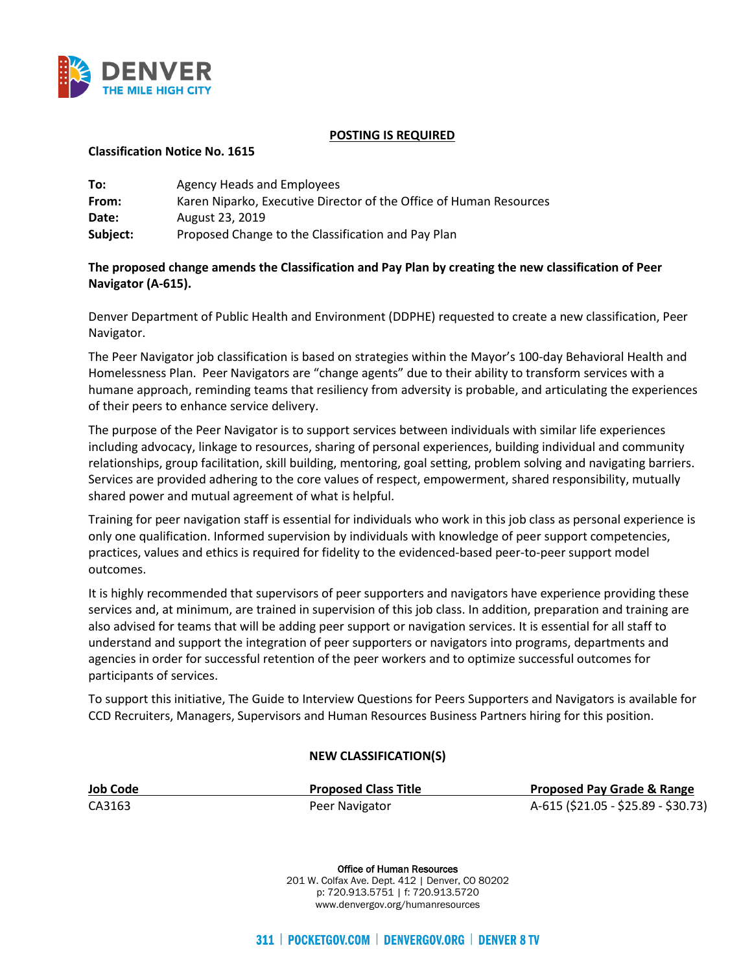

## **POSTING IS REQUIRED**

## **Classification Notice No. 1615**

| To:      | Agency Heads and Employees                                         |
|----------|--------------------------------------------------------------------|
| From:    | Karen Niparko, Executive Director of the Office of Human Resources |
| Date:    | August 23, 2019                                                    |
| Subject: | Proposed Change to the Classification and Pay Plan                 |

## **The proposed change amends the Classification and Pay Plan by creating the new classification of Peer Navigator (A-615).**

Denver Department of Public Health and Environment (DDPHE) requested to create a new classification, Peer Navigator.

The Peer Navigator job classification is based on strategies within the Mayor's 100-day Behavioral Health and Homelessness Plan. Peer Navigators are "change agents" due to their ability to transform services with a humane approach, reminding teams that resiliency from adversity is probable, and articulating the experiences of their peers to enhance service delivery.

The purpose of the Peer Navigator is to support services between individuals with similar life experiences including advocacy, linkage to resources, sharing of personal experiences, building individual and community relationships, group facilitation, skill building, mentoring, goal setting, problem solving and navigating barriers. Services are provided adhering to the core values of respect, empowerment, shared responsibility, mutually shared power and mutual agreement of what is helpful.

Training for peer navigation staff is essential for individuals who work in this job class as personal experience is only one qualification. Informed supervision by individuals with knowledge of peer support competencies, practices, values and ethics is required for fidelity to the evidenced-based peer-to-peer support model outcomes.

It is highly recommended that supervisors of peer supporters and navigators have experience providing these services and, at minimum, are trained in supervision of this job class. In addition, preparation and training are also advised for teams that will be adding peer support or navigation services. It is essential for all staff to understand and support the integration of peer supporters or navigators into programs, departments and agencies in order for successful retention of the peer workers and to optimize successful outcomes for participants of services.

To support this initiative, The Guide to Interview Questions for Peers Supporters and Navigators is available for CCD Recruiters, Managers, Supervisors and Human Resources Business Partners hiring for this position.

## **NEW CLASSIFICATION(S)**

| <b>Job Code</b> | <b>Proposed Class Title</b> | <b>Proposed Pay Grade &amp; Range</b> |
|-----------------|-----------------------------|---------------------------------------|
| CA3163          | Peer Navigator              | A-615 (\$21.05 - \$25.89 - \$30.73)   |

Office of Human Resources 201 W. Colfax Ave. Dept. 412 | Denver, CO 80202 p: 720.913.5751 | f: 720.913.5720 www.denvergov.org/humanresources